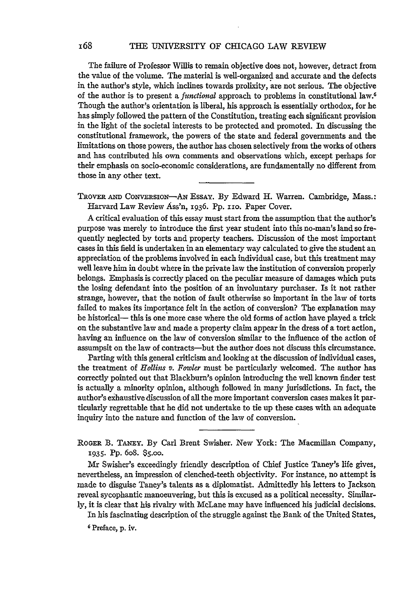The failure of Professor Willis to remain objective does not, however, detract from the value of the volume. The material is well-organized and accurate and the defects in the author's style, which inclines towards prolixity, are not serious. The objective of the author is to present a *functional* approach to problems in constitutional law.<sup>6</sup> Though the author's orientation is liberal, his approach is essentially orthodox, for he has simply followed the pattern of the Constitution, treating each significant provision in the light of the societal interests to be protected and promoted. In discussing the constitutional framework, the powers of the state and federal governments and the limitations on those powers, the author has chosen selectively from the works of others and has contributed his own comments and observations which, except perhaps for their emphasis on socio-economic considerations, are fundamentally no different from those in any other text.

TRovER **AND** CONVERsIoN-AN EssAy. By Edward H. Warren. Cambridge, Mass.: Harvard Law Review Ass'n, 1936. Pp. 110. Paper Cover.

A critical evaluation of this essay must start from the assumption that the author's purpose was merely to introduce the first year student into this no-man's land so frequently neglected by torts and property teachers. Discussion of the most important cases in this field is undertaken in an elementary way calculated to give the student an appreciation of the problems involved in each individual case, but this treatment may well leave him in doubt where in the private law the institution of conversion properly belongs. Emphasis is correctly placed on the peculiar measure of damages which puts the losing defendant into the position of an involuntary purchaser. Is it not rather strange, however, that the notion of fault otherwise so important in the law of torts failed to makes its importance felt in the action of conversion? The explanation may be historical- this is one more case where the old forms of action have played a trick on the substantive law and made a property claim appear in the dress of a tort action, having an influence on the law of conversion similar to the influence of the action of assumpsit on the law of contracts-but the author does not discuss this circumstance.

Parting with this general criticism and looking at the discussion of individual cases, the treatment of *Hollins v. Fowler* must be particularly welcomed. The author has correctly pointed out that Blackburn's opinion introducing the well known finder test is actually a minority opinion, although followed in many jurisdictions. In fact, the author's exhaustive discussion of all the more important conversion cases makes it particularly regrettable that he did not undertake to tie up these cases with an adequate inquiry into the nature and function of the law of conversion.

**R OGER** B. **TANEY.** By Carl Brent Swisher. New York: The Macmillan Company, 1935. **Pp.** 6o8. **\$5.00.**

Mr Swisher's exceedingly friendly description of Chief Justice Taney's life gives, nevertheless, an impression of clenched-teeth objectivity. For instance, no attempt is made to disguise Taney's talents as a diplomatist. Admittedly his letters to Jackson reveal sycophantic manoeuvering, but this is excused as a political necessity. Similarly, it is clear that his rivalry with McLane may have influenced his judicial decisions.

In his fascinating description of the struggle against the Bank of the United States,

**6** Preface, p. iv.